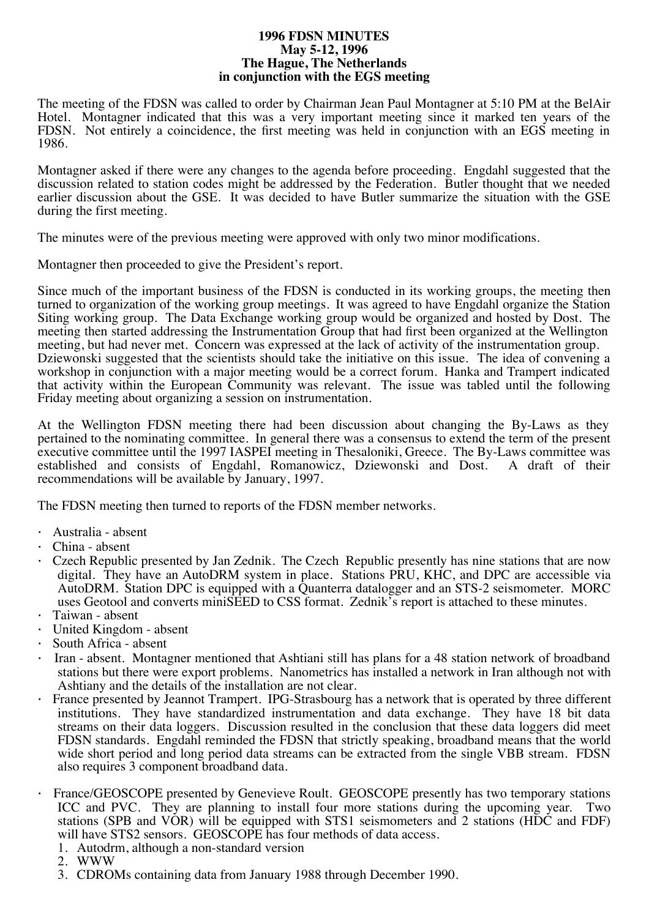#### **1996 FDSN MINUTES May 5-12, 1996 The Hague, The Netherlands in conjunction with the EGS meeting**

The meeting of the FDSN was called to order by Chairman Jean Paul Montagner at 5:10 PM at the BelAir Hotel. Montagner indicated that this was a very important meeting since it marked ten years of the FDSN. Not entirely a coincidence, the first meeting was held in conjunction with an EGS meeting in 1986.

Montagner asked if there were any changes to the agenda before proceeding. Engdahl suggested that the discussion related to station codes might be addressed by the Federation. Butler thought that we needed earlier discussion about the GSE. It was decided to have Butler summarize the situation with the GSE during the first meeting.

The minutes were of the previous meeting were approved with only two minor modifications.

Montagner then proceeded to give the President's report.

Since much of the important business of the FDSN is conducted in its working groups, the meeting then turned to organization of the working group meetings. It was agreed to have Engdahl organize the Station Siting working group. The Data Exchange working group would be organized and hosted by Dost. The meeting then started addressing the Instrumentation Group that had first been organized at the Wellington meeting, but had never met. Concern was expressed at the lack of activity of the instrumentation group. Dziewonski suggested that the scientists should take the initiative on this issue. The idea of convening a workshop in conjunction with a major meeting would be a correct forum. Hanka and Trampert indicated that activity within the European Community was relevant. The issue was tabled until the following Friday meeting about organizing a session on instrumentation.

At the Wellington FDSN meeting there had been discussion about changing the By-Laws as they pertained to the nominating committee. In general there was a consensus to extend the term of the present executive committee until the 1997 IASPEI meeting in Thesaloniki, Greece. The By-Laws committee was established and consists of Engdahl, Romanowicz, Dziewonski and Dost. A draft of their recommendations will be available by January, 1997.

The FDSN meeting then turned to reports of the FDSN member networks.

- · Australia absent
- · China absent
- · Czech Republic presented by Jan Zednik. The Czech Republic presently has nine stations that are now digital. They have an AutoDRM system in place. Stations PRU, KHC, and DPC are accessible via AutoDRM. Station DPC is equipped with a Quanterra datalogger and an STS-2 seismometer. MORC uses Geotool and converts miniSEED to CSS format. Zednik's report is attached to these minutes.
- · Taiwan absent
- United Kingdom absent
- South Africa absent
- · Iran absent. Montagner mentioned that Ashtiani still has plans for a 48 station network of broadband stations but there were export problems. Nanometrics has installed a network in Iran although not with Ashtiany and the details of the installation are not clear.
- · France presented by Jeannot Trampert. IPG-Strasbourg has a network that is operated by three different institutions. They have standardized instrumentation and data exchange. They have 18 bit data streams on their data loggers. Discussion resulted in the conclusion that these data loggers did meet FDSN standards. Engdahl reminded the FDSN that strictly speaking, broadband means that the world wide short period and long period data streams can be extracted from the single VBB stream. FDSN also requires 3 component broadband data.
- France/GEOSCOPE presented by Genevieve Roult. GEOSCOPE presently has two temporary stations ICC and PVC. They are planning to install four more stations during the upcoming year. Two stations (SPB and VOR) will be equipped with STS1 seismometers and 2 stations (HDC and FDF) will have STS2 sensors. GEOSCOPE has four methods of data access.
	- 1. Autodrm, although a non-standard version
	- 2. WWW
	- 3. CDROMs containing data from January 1988 through December 1990.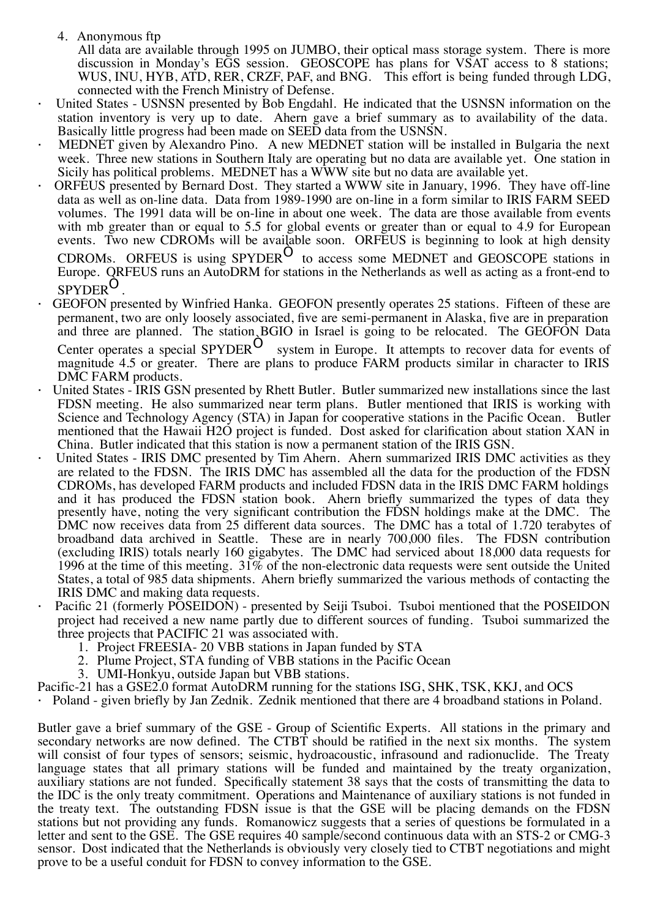4. Anonymous ftp

All data are available through 1995 on JUMBO, their optical mass storage system. There is more discussion in Monday's EGS session. GEOSCOPE has plans for VSAT access to 8 stations; WUS, INU, HYB, ATD, RER, CRZF, PAF, and BNG. This effort is being funded through LDG, connected with the French Ministry of Defense.

- United States USNSN presented by Bob Engdahl. He indicated that the USNSN information on the station inventory is very up to date. Ahern gave a brief summary as to availability of the data. Basically little progress had been made on SEED data from the USNSN.
- MEDNET given by Alexandro Pino. A new MEDNET station will be installed in Bulgaria the next week. Three new stations in Southern Italy are operating but no data are available yet. One station in Sicily has political problems. MEDNET has a WWW site but no data are available yet.
- ORFEUS presented by Bernard Dost. They started a WWW site in January, 1996. They have off-line data as well as on-line data. Data from 1989-1990 are on-line in a form similar to IRIS FARM SEED volumes. The 1991 data will be on-line in about one week. The data are those available from events with mb greater than or equal to 5.5 for global events or greater than or equal to 4.9 for European events. Two new CDROMs will be available soon. ORFEUS is beginning to look at high density

CDROMs. ORFEUS is using SPYDER<sup>Ò</sup> to access some MEDNET and GEOSCOPE stations in Europe. ORFEUS runs an AutoDRM for stations in the Netherlands as well as acting as a front-end to SPYDER<sup>Ò</sup> .

- GEOFON presented by Winfried Hanka. GEOFON presently operates 25 stations. Fifteen of these are permanent, two are only loosely associated, five are semi-permanent in Alaska, five are in preparation and three are planned. The station BGIO in Israel is going to be relocated. The GEOFON Data Center operates a special SPYDER<sup>Ô</sup> system in Europe. It attempts to recover data for events of magnitude 4.5 or greater. There are plans to produce FARM products similar in character to IRIS DMC FARM products.
- United States IRIS GSN presented by Rhett Butler. Butler summarized new installations since the last FDSN meeting. He also summarized near term plans. Butler mentioned that IRIS is working with Science and Technology Agency (STA) in Japan for cooperative stations in the Pacific Ocean. Butler mentioned that the Hawaii H2O project is funded. Dost asked for clarification about station XAN in China. Butler indicated that this station is now a permanent station of the IRIS GSN.
- United States IRIS DMC presented by Tim Ahern. Ahern summarized IRIS DMC activities as they are related to the FDSN. The IRIS DMC has assembled all the data for the production of the FDSN CDROMs, has developed FARM products and included FDSN data in the IRIS DMC FARM holdings and it has produced the FDSN station book. Ahern briefly summarized the types of data they presently have, noting the very significant contribution the FDSN holdings make at the DMC. The DMC now receives data from 25 different data sources. The DMC has a total of 1.720 terabytes of broadband data archived in Seattle. These are in nearly 700,000 files. The FDSN contribution (excluding IRIS) totals nearly 160 gigabytes. The DMC had serviced about 18,000 data requests for 1996 at the time of this meeting.  $31\%$  of the non-electronic data requests were sent outside the United States, a total of 985 data shipments. Ahern briefly summarized the various methods of contacting the IRIS DMC and making data requests.
- Pacific 21 (formerly POSEIDON) presented by Seiji Tsuboi. Tsuboi mentioned that the POSEIDON project had received a new name partly due to different sources of funding. Tsuboi summarized the three projects that PACIFIC 21 was associated with.
	- 1. Project FREESIA- 20 VBB stations in Japan funded by STA
	- 2. Plume Project, STA funding of VBB stations in the Pacific Ocean
	- 3. UMI-Honkyu, outside Japan but VBB stations.
- Pacific-21 has a GSE2.0 format AutoDRM running for the stations ISG, SHK, TSK, KKJ, and OCS

· Poland - given briefly by Jan Zednik. Zednik mentioned that there are 4 broadband stations in Poland.

Butler gave a brief summary of the GSE - Group of Scientific Experts. All stations in the primary and secondary networks are now defined. The CTBT should be ratified in the next six months. The system will consist of four types of sensors; seismic, hydroacoustic, infrasound and radionuclide. The Treaty language states that all primary stations will be funded and maintained by the treaty organization, auxiliary stations are not funded. Specifically statement 38 says that the costs of transmitting the data to the IDC is the only treaty commitment. Operations and Maintenance of auxiliary stations is not funded in the treaty text. The outstanding FDSN issue is that the GSE will be placing demands on the FDSN stations but not providing any funds. Romanowicz suggests that a series of questions be formulated in a letter and sent to the GSE. The GSE requires 40 sample/second continuous data with an STS-2 or CMG-3 sensor. Dost indicated that the Netherlands is obviously very closely tied to CTBT negotiations and might prove to be a useful conduit for FDSN to convey information to the GSE.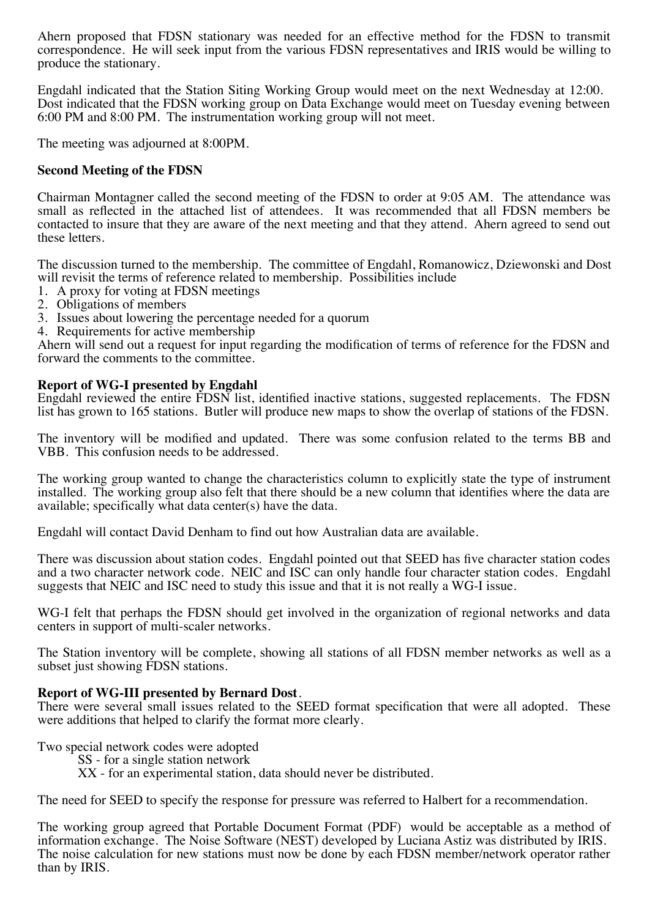Ahern proposed that FDSN stationary was needed for an effective method for the FDSN to transmit correspondence. He will seek input from the various FDSN representatives and IRIS would be willing to produce the stationary.

Engdahl indicated that the Station Siting Working Group would meet on the next Wednesday at 12:00. Dost indicated that the FDSN working group on Data Exchange would meet on Tuesday evening between 6:00 PM and 8:00 PM. The instrumentation working group will not meet.

The meeting was adjourned at 8:00PM.

### **Second Meeting of the FDSN**

Chairman Montagner called the second meeting of the FDSN to order at 9:05 AM. The attendance was small as reflected in the attached list of attendees. It was recommended that all FDSN members be contacted to insure that they are aware of the next meeting and that they attend. Ahern agreed to send out these letters.

The discussion turned to the membership. The committee of Engdahl, Romanowicz, Dziewonski and Dost will revisit the terms of reference related to membership. Possibilities include

- 1. A proxy for voting at FDSN meetings
- 2. Obligations of members
- 3. Issues about lowering the percentage needed for a quorum
- 4. Requirements for active membership

Ahern will send out a request for input regarding the modification of terms of reference for the FDSN and forward the comments to the committee.

### **Report of WG-I presented by Engdahl**

Engdahl reviewed the entire FDSN list, identified inactive stations, suggested replacements. The FDSN list has grown to 165 stations. Butler will produce new maps to show the overlap of stations of the FDSN.

The inventory will be modified and updated. There was some confusion related to the terms BB and VBB. This confusion needs to be addressed.

The working group wanted to change the characteristics column to explicitly state the type of instrument installed. The working group also felt that there should be a new column that identifies where the data are available; specifically what data center(s) have the data.

Engdahl will contact David Denham to find out how Australian data are available.

There was discussion about station codes. Engdahl pointed out that SEED has five character station codes and a two character network code. NEIC and ISC can only handle four character station codes. Engdahl suggests that NEIC and ISC need to study this issue and that it is not really a WG-I issue.

WG-I felt that perhaps the FDSN should get involved in the organization of regional networks and data centers in support of multi-scaler networks.

The Station inventory will be complete, showing all stations of all FDSN member networks as well as a subset just showing FDSN stations.

## **Report of WG-III presented by Bernard Dost**.

There were several small issues related to the SEED format specification that were all adopted. These were additions that helped to clarify the format more clearly.

Two special network codes were adopted

SS - for a single station network

XX - for an experimental station, data should never be distributed.

The need for SEED to specify the response for pressure was referred to Halbert for a recommendation.

The working group agreed that Portable Document Format (PDF) would be acceptable as a method of information exchange. The Noise Software (NEST) developed by Luciana Astiz was distributed by IRIS. The noise calculation for new stations must now be done by each FDSN member/network operator rather than by IRIS.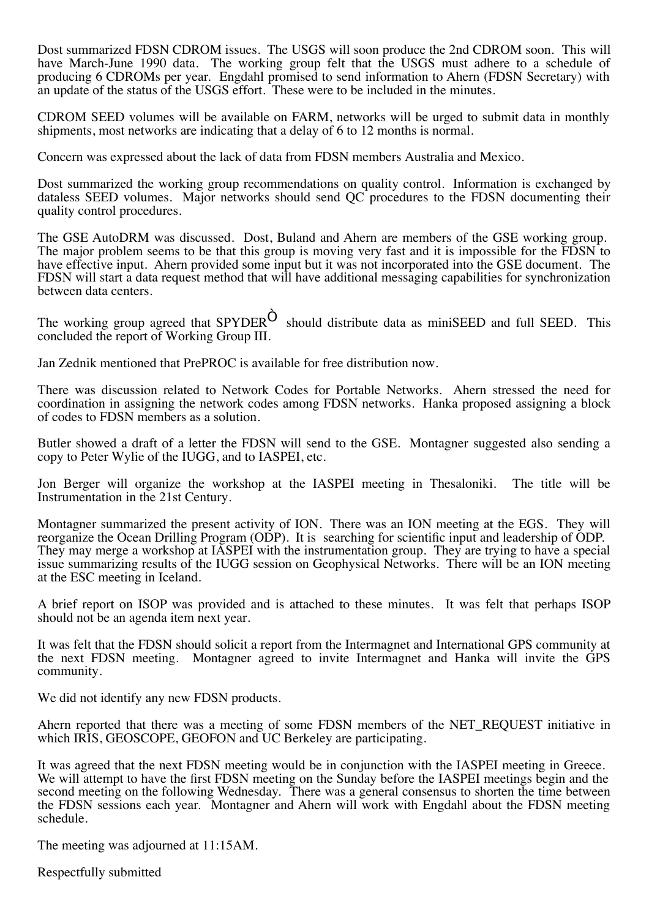Dost summarized FDSN CDROM issues. The USGS will soon produce the 2nd CDROM soon. This will have March-June 1990 data. The working group felt that the USGS must adhere to a schedule of producing 6 CDROMs per year. Engdahl promised to send information to Ahern (FDSN Secretary) with an update of the status of the USGS effort. These were to be included in the minutes.

CDROM SEED volumes will be available on FARM, networks will be urged to submit data in monthly shipments, most networks are indicating that a delay of 6 to 12 months is normal.

Concern was expressed about the lack of data from FDSN members Australia and Mexico.

Dost summarized the working group recommendations on quality control. Information is exchanged by dataless SEED volumes. Major networks should send QC procedures to the FDSN documenting their quality control procedures.

The GSE AutoDRM was discussed. Dost, Buland and Ahern are members of the GSE working group. The major problem seems to be that this group is moving very fast and it is impossible for the FDSN to have effective input. Ahern provided some input but it was not incorporated into the GSE document. The FDSN will start a data request method that will have additional messaging capabilities for synchronization between data centers.

The working group agreed that  $SPYDER^O$  should distribute data as miniSEED and full SEED. This concluded the report of Working Group III.

Jan Zednik mentioned that PrePROC is available for free distribution now.

There was discussion related to Network Codes for Portable Networks. Ahern stressed the need for coordination in assigning the network codes among FDSN networks. Hanka proposed assigning a block of codes to FDSN members as a solution.

Butler showed a draft of a letter the FDSN will send to the GSE. Montagner suggested also sending a copy to Peter Wylie of the IUGG, and to IASPEI, etc.

Jon Berger will organize the workshop at the IASPEI meeting in Thesaloniki. The title will be Instrumentation in the 21st Century.

Montagner summarized the present activity of ION. There was an ION meeting at the EGS. They will reorganize the Ocean Drilling Program (ODP). It is searching for scientific input and leadership of ODP. They may merge a workshop at IASPEI with the instrumentation group. They are trying to have a special issue summarizing results of the IUGG session on Geophysical Networks. There will be an ION meeting at the ESC meeting in Iceland.

A brief report on ISOP was provided and is attached to these minutes. It was felt that perhaps ISOP should not be an agenda item next year.

It was felt that the FDSN should solicit a report from the Intermagnet and International GPS community at the next FDSN meeting. Montagner agreed to invite Intermagnet and Hanka will invite the GPS community.

We did not identify any new FDSN products.

Ahern reported that there was a meeting of some FDSN members of the NET\_REQUEST initiative in which IRIS, GEOSCOPE, GEOFON and UC Berkeley are participating.

It was agreed that the next FDSN meeting would be in conjunction with the IASPEI meeting in Greece. We will attempt to have the first FDSN meeting on the Sunday before the IASPEI meetings begin and the second meeting on the following Wednesday. There was a general consensus to shorten the time between the FDSN sessions each year. Montagner and Ahern will work with Engdahl about the FDSN meeting schedule.

The meeting was adjourned at 11:15AM.

Respectfully submitted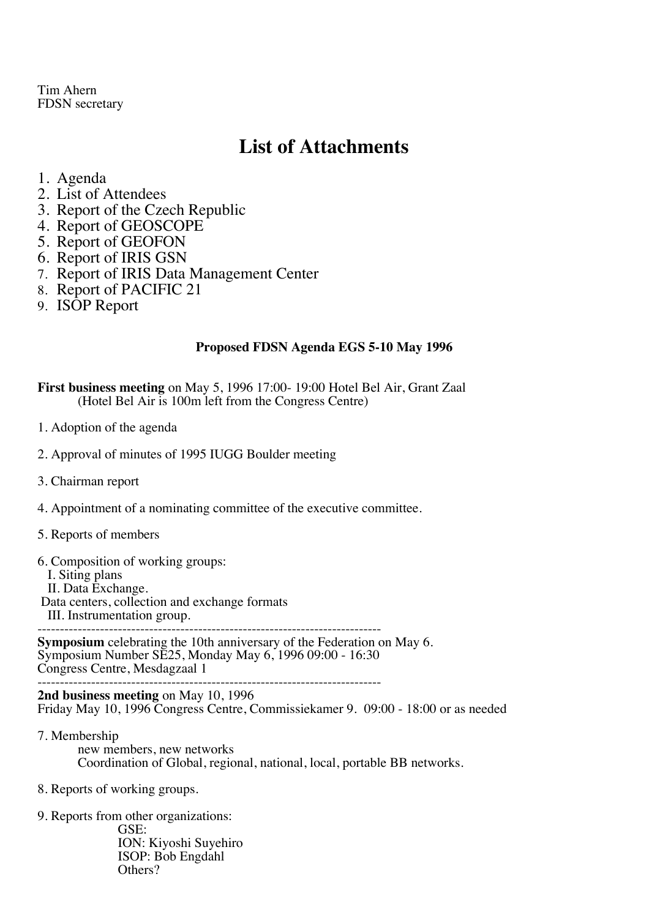Tim Ahern FDSN secretary

# **List of Attachments**

- 1. Agenda
- 2. List of Attendees
- 3. Report of the Czech Republic
- 4. Report of GEOSCOPE
- 5. Report of GEOFON
- 6. Report of IRIS GSN
- 7. Report of IRIS Data Management Center
- 8. Report of PACIFIC 21
- 9. ISOP Report

### **Proposed FDSN Agenda EGS 5-10 May 1996**

**First business meeting** on May 5, 1996 17:00- 19:00 Hotel Bel Air, Grant Zaal (Hotel Bel Air is 100m left from the Congress Centre)

- 1. Adoption of the agenda
- 2. Approval of minutes of 1995 IUGG Boulder meeting
- 3. Chairman report
- 4. Appointment of a nominating committee of the executive committee.
- 5. Reports of members
- 6. Composition of working groups:
	- I. Siting plans
	- II. Data Exchange.
- Data centers, collection and exchange formats
	- III. Instrumentation group.

----------------------------------------------------------------------------- **Symposium** celebrating the 10th anniversary of the Federation on May 6. Symposium Number SE25, Monday May 6, 1996 09:00 - 16:30 Congress Centre, Mesdagzaal 1

-----------------------------------------------------------------------------

**2nd business meeting** on May 10, 1996 Friday May 10, 1996 Congress Centre, Commissiekamer 9. 09:00 - 18:00 or as needed

- 7. Membership new members, new networks Coordination of Global, regional, national, local, portable BB networks.
- 8. Reports of working groups.
- 9. Reports from other organizations: GSE: ION: Kiyoshi Suyehiro ISOP: Bob Engdahl Others?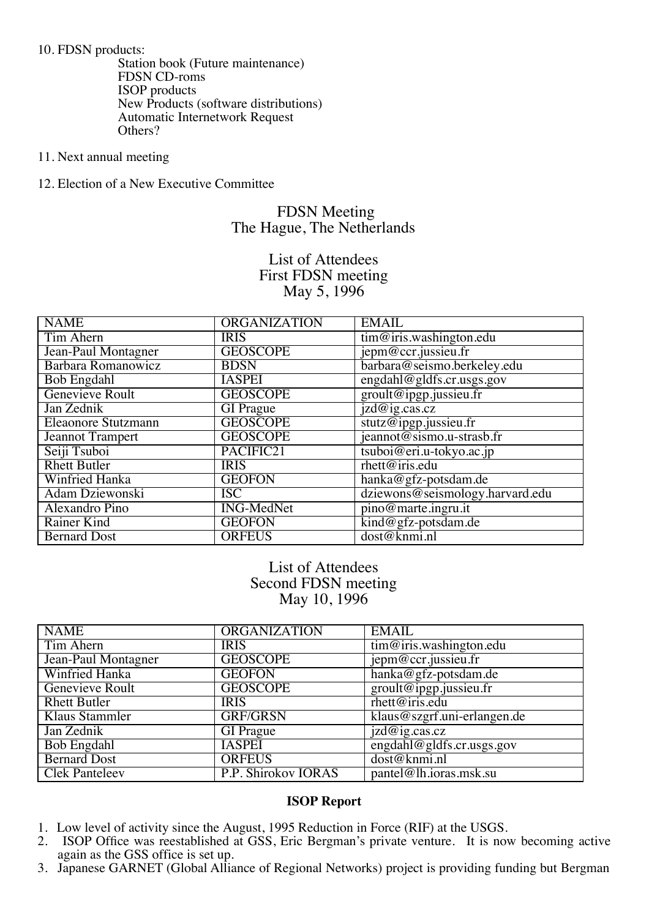10. FDSN products:

Station book (Future maintenance) FDSN CD-roms ISOP products New Products (software distributions) Automatic Internetwork Request Others?

- 11. Next annual meeting
- 12. Election of a New Executive Committee

## FDSN Meeting The Hague, The Netherlands

List of Attendees First FDSN meeting May 5, 1996

| <b>NAME</b>                | <b>ORGANIZATION</b> | <b>EMAIL</b>                                |
|----------------------------|---------------------|---------------------------------------------|
| Tim Ahern                  | <b>IRIS</b>         | $\overline{\text{tim@iris.washington.edu}}$ |
| Jean-Paul Montagner        | <b>GEOSCOPE</b>     | jepm@ccr.jussieu.fr                         |
| Barbara Romanowicz         | <b>BDSN</b>         | barbara@seismo.berkeley.edu                 |
| <b>Bob Engdahl</b>         | <b>IASPEI</b>       | engdahl@gldfs.cr.usgs.gov                   |
| Genevieve Roult            | <b>GEOSCOPE</b>     | groult@ipgp.jussieu.fr                      |
| Jan Zednik                 | <b>GI</b> Prague    | izd@ig.cas.cz                               |
| <b>Eleaonore Stutzmann</b> | <b>GEOSCOPE</b>     | stutz@ipgp.jussieu.fr                       |
| <b>Jeannot Trampert</b>    | <b>GEOSCOPE</b>     | jeannot@sismo.u-strasb.fr                   |
| Seiji Tsuboi               | PACIFIC21           | tsuboi@eri.u-tokyo.ac.jp                    |
| <b>Rhett Butler</b>        | <b>IRIS</b>         | rhett@iris.edu                              |
| <b>Winfried Hanka</b>      | <b>GEOFON</b>       | hanka@gfz-potsdam.de                        |
| Adam Dziewonski            | ISC                 | dziewons@seismology.harvard.edu             |
| Alexandro Pino             | <b>ING-MedNet</b>   | pino@marte.ingru.it                         |
| Rainer Kind                | <b>GEOFON</b>       | kind@gfz-potsdam.de                         |
| <b>Bernard Dost</b>        | <b>ORFEUS</b>       | dost@knmi.nl                                |

List of Attendees Second FDSN meeting May 10, 1996

| <b>NAME</b>            | <b>ORGANIZATION</b> | <b>EMAIL</b>                                |
|------------------------|---------------------|---------------------------------------------|
| Tim Ahern              | <b>IRIS</b>         | tim@iris.washington.edu                     |
| Jean-Paul Montagner    | <b>GEOSCOPE</b>     | jepm@ccr.jussieu.fr                         |
| Winfried Hanka         | <b>GEOFON</b>       | hanka@gfz-potsdam.de                        |
| <b>Genevieve Roult</b> | <b>GEOSCOPE</b>     | groult@ipgp.jussieu.fr                      |
| <b>Rhett Butler</b>    | <b>IRIS</b>         | rhett@iris.edu                              |
| Klaus Stammler         | <b>GRF/GRSN</b>     | klaus@szgrf.uni-erlangen.de                 |
| Jan Zednik             | <b>GI</b> Prague    | $i\overline{z}\overline{d\omega}$ ig.cas.cz |
| <b>Bob Engdahl</b>     | <b>IASPEI</b>       | engdahl@gldfs.cr.usgs.gov                   |
| <b>Bernard Dost</b>    | <b>ORFEUS</b>       | dost@knmi.nl                                |
| <b>Clek Panteleev</b>  | P.P. Shirokov IORAS | pantel@lh.joras.msk.su                      |

### **ISOP Report**

- 1. Low level of activity since the August, 1995 Reduction in Force (RIF) at the USGS.<br>2. ISOP Office was reestablished at GSS, Eric Bergman's private venture. It is nov
- 2. ISOP Office was reestablished at GSS, Eric Bergman's private venture. It is now becoming active again as the GSS office is set up.
- 3. Japanese GARNET (Global Alliance of Regional Networks) project is providing funding but Bergman